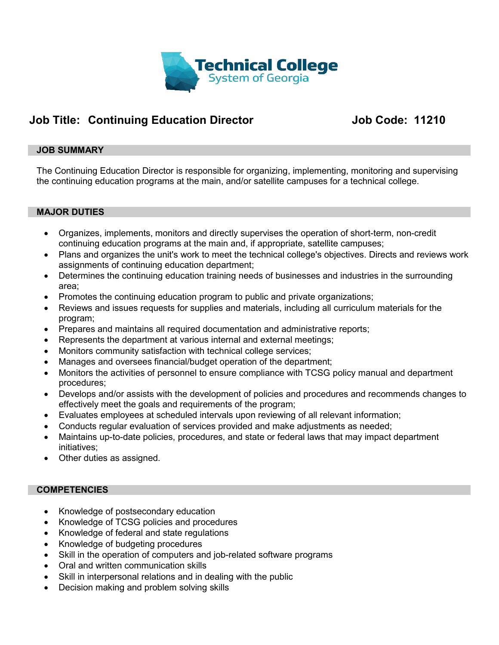

# **Job Title: Continuing Education Director Job Code: 11210**

#### **JOB SUMMARY**

The Continuing Education Director is responsible for organizing, implementing, monitoring and supervising the continuing education programs at the main, and/or satellite campuses for a technical college.

#### **MAJOR DUTIES**

- Organizes, implements, monitors and directly supervises the operation of short-term, non-credit continuing education programs at the main and, if appropriate, satellite campuses;
- Plans and organizes the unit's work to meet the technical college's objectives. Directs and reviews work assignments of continuing education department;
- Determines the continuing education training needs of businesses and industries in the surrounding area;
- Promotes the continuing education program to public and private organizations;
- Reviews and issues requests for supplies and materials, including all curriculum materials for the program;
- Prepares and maintains all required documentation and administrative reports;
- Represents the department at various internal and external meetings;
- Monitors community satisfaction with technical college services;
- Manages and oversees financial/budget operation of the department;
- Monitors the activities of personnel to ensure compliance with TCSG policy manual and department procedures;
- Develops and/or assists with the development of policies and procedures and recommends changes to effectively meet the goals and requirements of the program;
- Evaluates employees at scheduled intervals upon reviewing of all relevant information;
- Conducts regular evaluation of services provided and make adjustments as needed;
- Maintains up-to-date policies, procedures, and state or federal laws that may impact department initiatives;
- Other duties as assigned.

#### **COMPETENCIES**

- Knowledge of postsecondary education
- Knowledge of TCSG policies and procedures
- Knowledge of federal and state regulations
- Knowledge of budgeting procedures
- Skill in the operation of computers and job-related software programs
- Oral and written communication skills
- Skill in interpersonal relations and in dealing with the public
- Decision making and problem solving skills